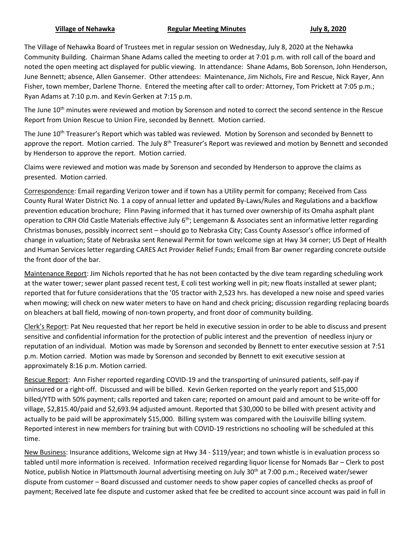## **Village of Nehawka Regular Meeting Minutes July 8, 2020**

The Village of Nehawka Board of Trustees met in regular session on Wednesday, July 8, 2020 at the Nehawka Community Building. Chairman Shane Adams called the meeting to order at 7:01 p.m. with roll call of the board and noted the open meeting act displayed for public viewing. In attendance: Shane Adams, Bob Sorenson, John Henderson, June Bennett; absence, Allen Gansemer. Other attendees: Maintenance, Jim Nichols, Fire and Rescue, Nick Rayer, Ann Fisher, town member, Darlene Thorne. Entered the meeting after call to order: Attorney, Tom Prickett at 7:05 p.m.; Ryan Adams at 7:10 p.m. and Kevin Gerken at 7:15 p.m.

The June 10<sup>th</sup> minutes were reviewed and motion by Sorenson and noted to correct the second sentence in the Rescue Report from Union Rescue to Union Fire, seconded by Bennett. Motion carried.

The June 10<sup>th</sup> Treasurer's Report which was tabled was reviewed. Motion by Sorenson and seconded by Bennett to approve the report. Motion carried. The July  $8^{th}$  Treasurer's Report was reviewed and motion by Bennett and seconded by Henderson to approve the report. Motion carried.

Claims were reviewed and motion was made by Sorenson and seconded by Henderson to approve the claims as presented. Motion carried.

Correspondence: Email regarding Verizon tower and if town has a Utility permit for company; Received from Cass County Rural Water District No. 1 a copy of annual letter and updated By-Laws/Rules and Regulations and a backflow prevention education brochure; Flinn Paving informed that it has turned over ownership of its Omaha asphalt plant operation to CRH Old Castle Materials effective July  $6<sup>th</sup>$ ; Lengemann & Associates sent an informative letter regarding Christmas bonuses, possibly incorrect sent – should go to Nebraska City; Cass County Assessor's office informed of change in valuation; State of Nebraska sent Renewal Permit for town welcome sign at Hwy 34 corner; US Dept of Health and Human Services letter regarding CARES Act Provider Relief Funds; Email from Bar owner regarding concrete outside the front door of the bar.

Maintenance Report: Jim Nichols reported that he has not been contacted by the dive team regarding scheduling work at the water tower; sewer plant passed recent test, E coli test working well in pit; new floats installed at sewer plant; reported that for future considerations that the '05 tractor with 2,523 hrs. has developed a new noise and speed varies when mowing; will check on new water meters to have on hand and check pricing; discussion regarding replacing boards on bleachers at ball field, mowing of non-town property, and front door of community building.

Clerk's Report: Pat Neu requested that her report be held in executive session in order to be able to discuss and present sensitive and confidential information for the protection of public interest and the prevention of needless injury or reputation of an individual. Motion was made by Sorenson and seconded by Bennett to enter executive session at 7:51 p.m. Motion carried. Motion was made by Sorenson and seconded by Bennett to exit executive session at approximately 8:16 p.m. Motion carried.

Rescue Report: Ann Fisher reported regarding COVID-19 and the transporting of uninsured patients, self-pay if uninsured or a right-off. Discussed and will be billed. Kevin Gerken reported on the yearly report and \$15,000 billed/YTD with 50% payment; calls reported and taken care; reported on amount paid and amount to be write-off for village, \$2,815.40/paid and \$2,693.94 adjusted amount. Reported that \$30,000 to be billed with present activity and actually to be paid will be approximately \$15,000. Billing system was compared with the Louisville billing system. Reported interest in new members for training but with COVID-19 restrictions no schooling will be scheduled at this time.

New Business: Insurance additions, Welcome sign at Hwy 34 - \$119/year; and town whistle is in evaluation process so tabled until more information is received. Information received regarding liquor license for Nomads Bar – Clerk to post Notice, publish Notice in Plattsmouth Journal advertising meeting on July 30<sup>th</sup> at 7:00 p.m.; Received water/sewer dispute from customer – Board discussed and customer needs to show paper copies of cancelled checks as proof of payment; Received late fee dispute and customer asked that fee be credited to account since account was paid in full in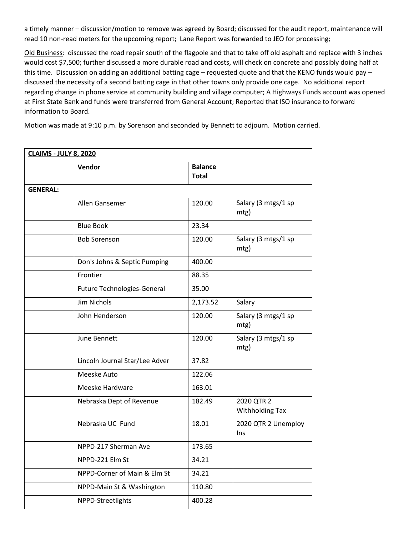a timely manner – discussion/motion to remove was agreed by Board; discussed for the audit report, maintenance will read 10 non-read meters for the upcoming report; Lane Report was forwarded to JEO for processing;

Old Business: discussed the road repair south of the flagpole and that to take off old asphalt and replace with 3 inches would cost \$7,500; further discussed a more durable road and costs, will check on concrete and possibly doing half at this time. Discussion on adding an additional batting cage – requested quote and that the KENO funds would pay – discussed the necessity of a second batting cage in that other towns only provide one cage. No additional report regarding change in phone service at community building and village computer; A Highways Funds account was opened at First State Bank and funds were transferred from General Account; Reported that ISO insurance to forward information to Board.

Motion was made at 9:10 p.m. by Sorenson and seconded by Bennett to adjourn. Motion carried.

| <b>CLAIMS - JULY 8, 2020</b> |                                |                                |                               |  |
|------------------------------|--------------------------------|--------------------------------|-------------------------------|--|
|                              | Vendor                         | <b>Balance</b><br><b>Total</b> |                               |  |
| <b>GENERAL:</b>              |                                |                                |                               |  |
|                              | Allen Gansemer                 | 120.00                         | Salary (3 mtgs/1 sp<br>mtg)   |  |
|                              | <b>Blue Book</b>               | 23.34                          |                               |  |
|                              | <b>Bob Sorenson</b>            | 120.00                         | Salary (3 mtgs/1 sp<br>mtg)   |  |
|                              | Don's Johns & Septic Pumping   | 400.00                         |                               |  |
|                              | Frontier                       | 88.35                          |                               |  |
|                              | Future Technologies-General    | 35.00                          |                               |  |
|                              | Jim Nichols                    | 2,173.52                       | Salary                        |  |
|                              | John Henderson                 | 120.00                         | Salary (3 mtgs/1 sp<br>mtg)   |  |
|                              | June Bennett                   | 120.00                         | Salary (3 mtgs/1 sp<br>mtg)   |  |
|                              | Lincoln Journal Star/Lee Adver | 37.82                          |                               |  |
|                              | Meeske Auto                    | 122.06                         |                               |  |
|                              | Meeske Hardware                | 163.01                         |                               |  |
|                              | Nebraska Dept of Revenue       | 182.49                         | 2020 QTR 2<br>Withholding Tax |  |
|                              | Nebraska UC Fund               | 18.01                          | 2020 QTR 2 Unemploy<br>Ins.   |  |
|                              | NPPD-217 Sherman Ave           | 173.65                         |                               |  |
|                              | NPPD-221 Elm St                | 34.21                          |                               |  |
|                              | NPPD-Corner of Main & Elm St   | 34.21                          |                               |  |
|                              | NPPD-Main St & Washington      | 110.80                         |                               |  |
|                              | NPPD-Streetlights              | 400.28                         |                               |  |